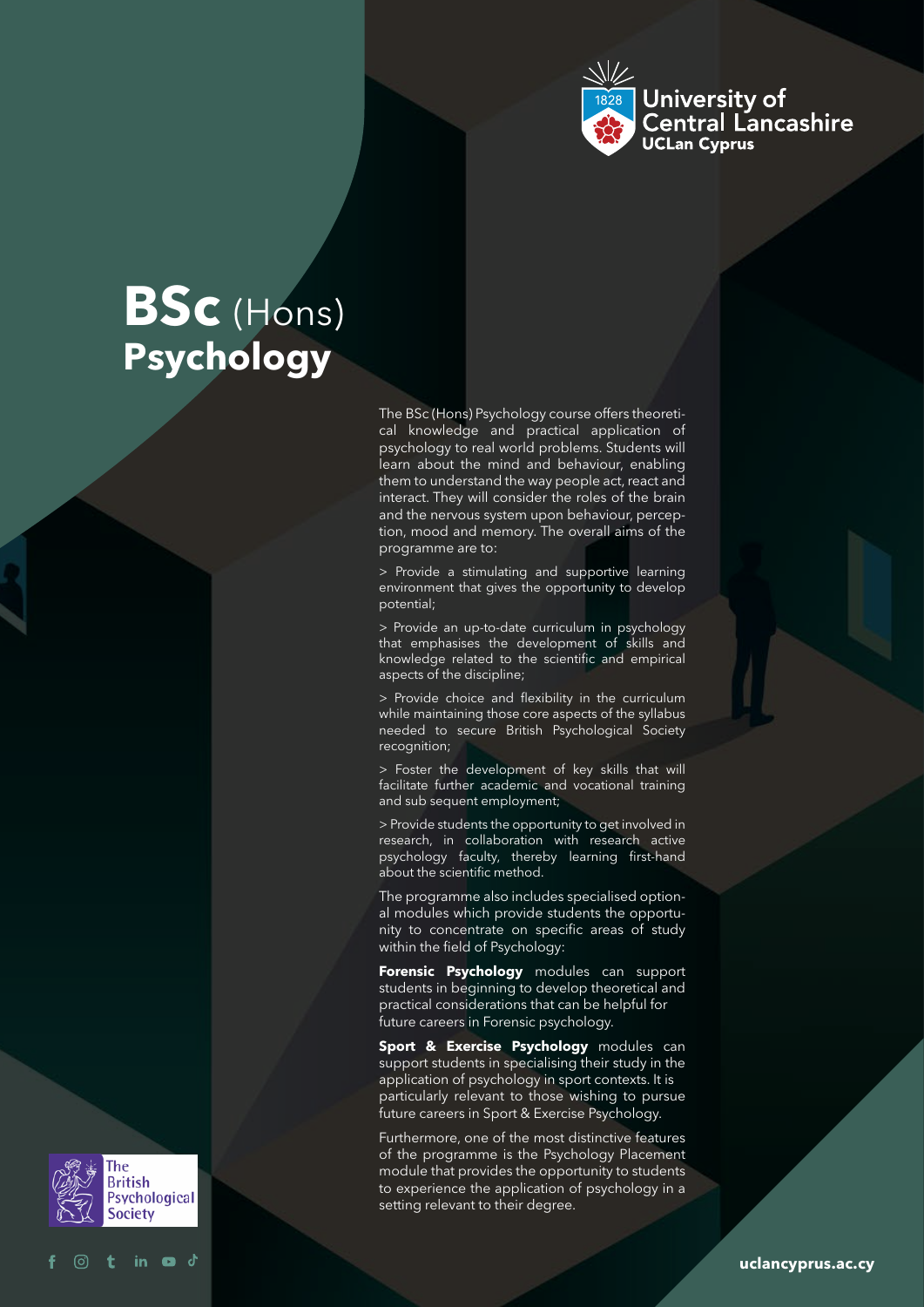

# **BSc** (Hons) **Psychology**

The BSc (Hons) Psychology course offers theoretical knowledge and practical application of psychology to real world problems. Students will learn about the mind and behaviour, enabling them to understand the way people act, react and interact. They will consider the roles of the brain and the nervous system upon behaviour, perception, mood and memory. The overall aims of the programme are to:

> Provide a stimulating and supportive learning environment that gives the opportunity to develop potential;

> Provide an up-to-date curriculum in psychology that emphasises the development of skills and knowledge related to the scientific and empirical aspects of the discipline;

> Provide choice and flexibility in the curriculum while maintaining those core aspects of the syllabus needed to secure British Psychological Society recognition;

> Foster the development of key skills that will facilitate further academic and vocational training and sub sequent employment;

> Provide students the opportunity to get involved in research, in collaboration with research active psychology faculty, thereby learning first-hand about the scientific method.

The programme also includes specialised optional modules which provide students the opportunity to concentrate on specific areas of study within the field of Psychology:

**Forensic Psychology** modules can support students in beginning to develop theoretical and practical considerations that can be helpful for future careers in Forensic psychology.

**Sport & Exercise Psychology** modules can support students in specialising their study in the application of psychology in sport contexts. It is particularly relevant to those wishing to pursue future careers in Sport & Exercise Psychology.

Furthermore, one of the most distinctive features of the programme is the Psychology Placement module that provides the opportunity to students to experience the application of psychology in a setting relevant to their degree.